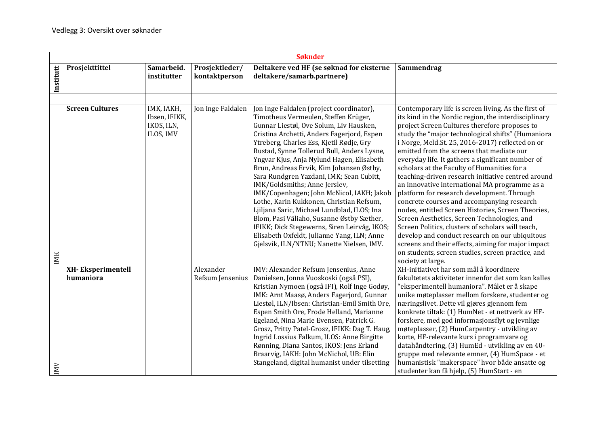|           |                                       |                                                        |                                 | <b>Søknder</b>                                                                                                                                                                                                                                                                                                                                                                                                                                                                                                                                                                                                                                                                                                                                                             |                                                                                                                                                                                                                                                                                                                                                                                                                                                                                                                                                                                                                                                                                                                                                                                                                                                                                                                                                  |
|-----------|---------------------------------------|--------------------------------------------------------|---------------------------------|----------------------------------------------------------------------------------------------------------------------------------------------------------------------------------------------------------------------------------------------------------------------------------------------------------------------------------------------------------------------------------------------------------------------------------------------------------------------------------------------------------------------------------------------------------------------------------------------------------------------------------------------------------------------------------------------------------------------------------------------------------------------------|--------------------------------------------------------------------------------------------------------------------------------------------------------------------------------------------------------------------------------------------------------------------------------------------------------------------------------------------------------------------------------------------------------------------------------------------------------------------------------------------------------------------------------------------------------------------------------------------------------------------------------------------------------------------------------------------------------------------------------------------------------------------------------------------------------------------------------------------------------------------------------------------------------------------------------------------------|
| Institutt | Prosjekttittel                        | Samarbeid.<br>institutter                              | Prosjektleder/<br>kontaktperson | Deltakere ved HF (se søknad for eksterne<br>deltakere/samarb.partnere)                                                                                                                                                                                                                                                                                                                                                                                                                                                                                                                                                                                                                                                                                                     | Sammendrag                                                                                                                                                                                                                                                                                                                                                                                                                                                                                                                                                                                                                                                                                                                                                                                                                                                                                                                                       |
|           |                                       |                                                        |                                 |                                                                                                                                                                                                                                                                                                                                                                                                                                                                                                                                                                                                                                                                                                                                                                            |                                                                                                                                                                                                                                                                                                                                                                                                                                                                                                                                                                                                                                                                                                                                                                                                                                                                                                                                                  |
|           | <b>Screen Cultures</b>                | IMK, IAKH,<br>Ibsen, IFIKK,<br>IKOS, ILN,<br>ILOS, IMV | Jon Inge Faldalen               | Jon Inge Faldalen (project coordinator),<br>Timotheus Vermeulen, Steffen Krüger,<br>Gunnar Liestøl, Ove Solum, Liv Hausken,<br>Cristina Archetti, Anders Fagerjord, Espen<br>Ytreberg, Charles Ess, Kjetil Rødje, Gry<br>Rustad, Synne Tollerud Bull, Anders Lysne,<br>Yngvar Kjus, Anja Nylund Hagen, Elisabeth<br>Brun, Andreas Ervik, Kim Johansen Østby,<br>Sara Rundgren Yazdani, IMK; Sean Cubitt,<br>IMK/Goldsmiths; Anne Jerslev,<br>IMK/Copenhagen; John McNicol, IAKH; Jakob<br>Lothe, Karin Kukkonen, Christian Refsum,<br>Ljiljana Saric, Michael Lundblad, ILOS; Ina<br>Blom, Pasi Väliaho, Susanne Østby Sæther,<br>IFIKK; Dick Stegewerns, Siren Leirvåg, IKOS;<br>Elisabeth Oxfeldt, Julianne Yang, ILN; Anne<br>Gjelsvik, ILN/NTNU; Nanette Nielsen, IMV. | Contemporary life is screen living. As the first of<br>its kind in the Nordic region, the interdisciplinary<br>project Screen Cultures therefore proposes to<br>study the "major technological shifts" (Humaniora<br>i Norge, Meld.St. 25, 2016-2017) reflected on or<br>emitted from the screens that mediate our<br>everyday life. It gathers a significant number of<br>scholars at the Faculty of Humanities for a<br>teaching-driven research initiative centred around<br>an innovative international MA programme as a<br>platform for research development. Through<br>concrete courses and accompanying research<br>nodes, entitled Screen Histories, Screen Theories,<br>Screen Aesthetics, Screen Technologies, and<br>Screen Politics, clusters of scholars will teach,<br>develop and conduct research on our ubiquitous<br>screens and their effects, aiming for major impact<br>on students, screen studies, screen practice, and |
| IMK       |                                       |                                                        |                                 |                                                                                                                                                                                                                                                                                                                                                                                                                                                                                                                                                                                                                                                                                                                                                                            | society at large.                                                                                                                                                                                                                                                                                                                                                                                                                                                                                                                                                                                                                                                                                                                                                                                                                                                                                                                                |
| IMN       | <b>XH-Eksperimentell</b><br>humaniora |                                                        | Alexander<br>Refsum Jensenius   | IMV: Alexander Refsum Jensenius, Anne<br>Danielsen, Jonna Vuoskoski (også PSI),<br>Kristian Nymoen (også IFI), Rolf Inge Godøy,<br>IMK: Arnt Maasø, Anders Fagerjord, Gunnar<br>Liestøl, ILN/Ibsen: Christian-Emil Smith Ore,<br>Espen Smith Ore, Frode Helland, Marianne<br>Egeland, Nina Marie Evensen, Patrick G.<br>Grosz, Pritty Patel-Grosz, IFIKK: Dag T. Haug<br>Ingrid Lossius Falkum, ILOS: Anne Birgitte<br>Rønning, Diana Santos, IKOS: Jens Erland<br>Braarvig, IAKH: John McNichol, UB: Elin<br>Stangeland, digital humanist under tilsetting                                                                                                                                                                                                                | XH-initiativet har som mål å koordinere<br>fakultetets aktiviteter innenfor det som kan kalles<br>"eksperimentell humaniora". Målet er å skape<br>unike møteplasser mellom forskere, studenter og<br>næringslivet. Dette vil gjøres gjennom fem<br>konkrete tiltak: (1) HumNet - et nettverk av HF-<br>forskere, med god informasjonsflyt og jevnlige<br>møteplasser, (2) HumCarpentry - utvikling av<br>korte, HF-relevante kurs i programvare og<br>datahåndtering, (3) HumEd - utvikling av en 40-<br>gruppe med relevante emner, (4) HumSpace - et<br>humanistisk "makerspace" hvor både ansatte og<br>studenter kan få hjelp, (5) HumStart - en                                                                                                                                                                                                                                                                                             |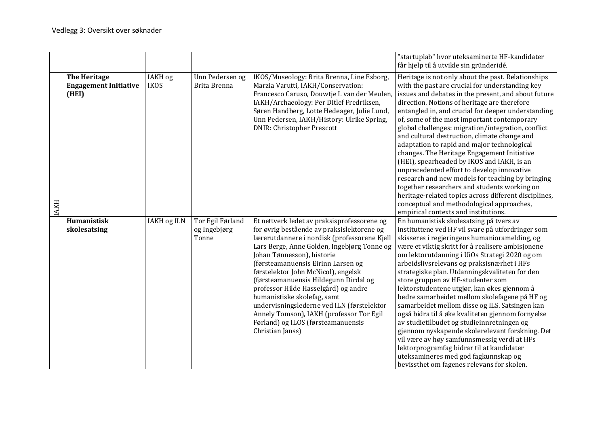|             |                              |                    |                  |                                              | "startuplab" hvor uteksaminerte HF-kandidater<br>får hjelp til å utvikle sin gründeridé. |
|-------------|------------------------------|--------------------|------------------|----------------------------------------------|------------------------------------------------------------------------------------------|
|             |                              |                    |                  |                                              |                                                                                          |
|             | The Heritage                 | IAKH og            | Unn Pedersen og  | IKOS/Museology: Brita Brenna, Line Esborg,   | Heritage is not only about the past. Relationships                                       |
|             | <b>Engagement Initiative</b> | <b>IKOS</b>        | Brita Brenna     | Marzia Varutti, IAKH/Conservation:           | with the past are crucial for understanding key                                          |
|             | (HEI)                        |                    |                  | Francesco Caruso, Douwtje L van der Meulen,  | issues and debates in the present, and about future                                      |
|             |                              |                    |                  | IAKH/Archaeology: Per Ditlef Fredriksen,     | direction. Notions of heritage are therefore                                             |
|             |                              |                    |                  | Søren Handberg, Lotte Hedeager, Julie Lund,  | entangled in, and crucial for deeper understanding                                       |
|             |                              |                    |                  | Unn Pedersen, IAKH/History: Ulrike Spring,   | of, some of the most important contemporary                                              |
|             |                              |                    |                  | <b>DNIR: Christopher Prescott</b>            | global challenges: migration/integration, conflict                                       |
|             |                              |                    |                  |                                              | and cultural destruction, climate change and                                             |
|             |                              |                    |                  |                                              | adaptation to rapid and major technological                                              |
|             |                              |                    |                  |                                              | changes. The Heritage Engagement Initiative                                              |
|             |                              |                    |                  |                                              | (HEI), spearheaded by IKOS and IAKH, is an                                               |
|             |                              |                    |                  |                                              | unprecedented effort to develop innovative                                               |
|             |                              |                    |                  |                                              | research and new models for teaching by bringing                                         |
|             |                              |                    |                  |                                              | together researchers and students working on                                             |
|             |                              |                    |                  |                                              | heritage-related topics across different disciplines,                                    |
| <b>IAKH</b> |                              |                    |                  |                                              | conceptual and methodological approaches,                                                |
|             |                              |                    |                  |                                              | empirical contexts and institutions.                                                     |
|             | Humanistisk                  | <b>IAKH og ILN</b> | Tor Egil Førland | Et nettverk ledet av praksisprofessorene og  | En humanistisk skolesatsing på tvers av                                                  |
|             | skolesatsing                 |                    | og Ingebjørg     | for øvrig bestående av praksislektorene og   | instituttene ved HF vil svare på utfordringer som                                        |
|             |                              |                    | Tonne            | lærerutdannere i nordisk (professorene Kjell | skisseres i regjeringens humanioramelding, og                                            |
|             |                              |                    |                  | Lars Berge, Anne Golden, Ingebjørg Tonne og  | være et viktig skritt for å realisere ambisjonene                                        |
|             |                              |                    |                  | Johan Tønnesson), historie                   | om lektorutdanning i UiOs Strategi 2020 og om                                            |
|             |                              |                    |                  | (førsteamanuensis Eirinn Larsen og           | arbeidslivsrelevans og praksisnærhet i HFs                                               |
|             |                              |                    |                  | førstelektor John McNicol), engelsk          | strategiske plan. Utdanningskvaliteten for den                                           |
|             |                              |                    |                  | (førsteamanuensis Hildegunn Dirdal og        | store gruppen av HF-studenter som                                                        |
|             |                              |                    |                  | professor Hilde Hasselgård) og andre         | lektorstudentene utgjør, kan økes gjennom å                                              |
|             |                              |                    |                  | humanistiske skolefag, samt                  | bedre samarbeidet mellom skolefagene på HF og                                            |
|             |                              |                    |                  | undervisningslederne ved ILN (førstelektor   | samarbeidet mellom disse og ILS. Satsingen kan                                           |
|             |                              |                    |                  | Annely Tomson), IAKH (professor Tor Egil     | også bidra til å øke kvaliteten gjennom fornyelse                                        |
|             |                              |                    |                  | Førland) og ILOS (førsteamanuensis           | av studietilbudet og studieinnretningen og                                               |
|             |                              |                    |                  | Christian Janss)                             | gjennom nyskapende skolerelevant forskning. Det                                          |
|             |                              |                    |                  |                                              | vil være av høy samfunnsmessig verdi at HFs                                              |
|             |                              |                    |                  |                                              | lektorprogramfag bidrar til at kandidater                                                |
|             |                              |                    |                  |                                              | uteksamineres med god fagkunnskap og                                                     |
|             |                              |                    |                  |                                              | bevissthet om fagenes relevans for skolen.                                               |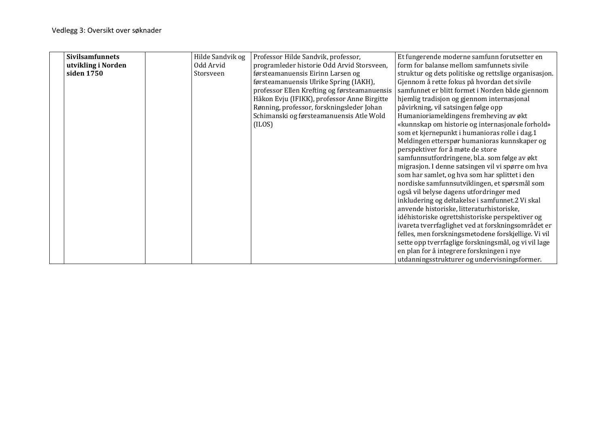| <b>Sivilsamfunnets</b> | Hilde Sandvik og | Professor Hilde Sandvik, professor,          | Et fungerende moderne samfunn forutsetter en          |
|------------------------|------------------|----------------------------------------------|-------------------------------------------------------|
| utvikling i Norden     | Odd Arvid        | programleder historie Odd Arvid Storsveen,   | form for balanse mellom samfunnets sivile             |
| siden 1750             | Storsveen        | førsteamanuensis Eirinn Larsen og            | struktur og dets politiske og rettslige organisasjon. |
|                        |                  | førsteamanuensis Ulrike Spring (IAKH),       | Gjennom å rette fokus på hvordan det sivile           |
|                        |                  | professor Ellen Krefting og førsteamanuensis | samfunnet er blitt formet i Norden både gjennom       |
|                        |                  | Håkon Evju (IFIKK), professor Anne Birgitte  | hjemlig tradisjon og gjennom internasjonal            |
|                        |                  | Rønning, professor, forskningsleder Johan    | påvirkning, vil satsingen følge opp                   |
|                        |                  | Schimanski og førsteamanuensis Atle Wold     | Humanioriameldingens fremheving av økt                |
|                        |                  | (ILOS)                                       | «kunnskap om historie og internasjonale forhold»      |
|                        |                  |                                              | som et kjernepunkt i humanioras rolle i dag.1         |
|                        |                  |                                              | Meldingen etterspør humanioras kunnskaper og          |
|                        |                  |                                              | perspektiver for å møte de store                      |
|                        |                  |                                              | samfunnsutfordringene, bl.a. som følge av økt         |
|                        |                  |                                              | migrasjon. I denne satsingen vil vi spørre om hva     |
|                        |                  |                                              | som har samlet, og hva som har splittet i den         |
|                        |                  |                                              | nordiske samfunnsutviklingen, et spørsmål som         |
|                        |                  |                                              | også vil belyse dagens utfordringer med               |
|                        |                  |                                              | inkludering og deltakelse i samfunnet.2 Vi skal       |
|                        |                  |                                              | anvende historiske, litteraturhistoriske,             |
|                        |                  |                                              | idéhistoriske ogrettshistoriske perspektiver og       |
|                        |                  |                                              | ivareta tverrfaglighet ved at forskningsområdet er    |
|                        |                  |                                              | felles, men forskningsmetodene forskjellige. Vi vil   |
|                        |                  |                                              | sette opp tverrfaglige forskningsmål, og vi vil lage  |
|                        |                  |                                              | en plan for å integrere forskningen i nye             |
|                        |                  |                                              | utdanningsstrukturer og undervisningsformer.          |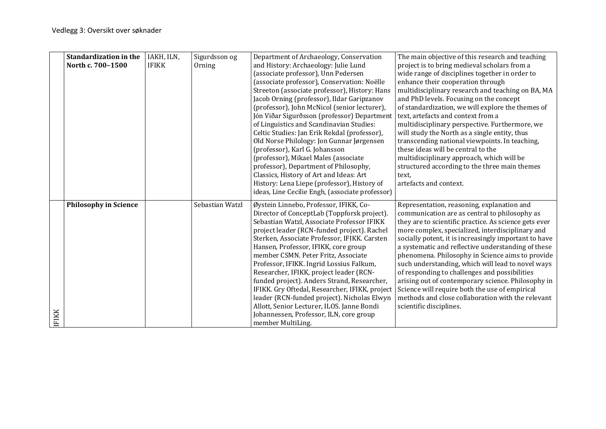|              | <b>Standardization in the</b><br>North c. 700-1500 | IAKH, ILN,<br><b>IFIKK</b> | Sigurdsson og<br>Orning | Department of Archaeology, Conservation<br>and History: Archaeology: Julie Lund<br>(associate professor), Unn Pedersen<br>(associate professor), Conservation: Noëlle<br>Streeton (associate professor), History: Hans<br>Jacob Orning (professor), Ildar Garipzanov<br>(professor), John McNicol (senior lecturer),<br>Jón Viðar Sigurðsson (professor) Department<br>of Linguistics and Scandinavian Studies:<br>Celtic Studies: Jan Erik Rekdal (professor),<br>Old Norse Philology: Jon Gunnar Jørgensen<br>(professor), Karl G. Johansson<br>(professor), Mikael Males (associate<br>professor), Department of Philosophy,<br>Classics, History of Art and Ideas: Art<br>History: Lena Liepe (professor), History of<br>ideas, Line Cecilie Engh, (associate professor) | The main objective of this research and teaching<br>project is to bring medieval scholars from a<br>wide range of disciplines together in order to<br>enhance their cooperation through<br>multidisciplinary research and teaching on BA, MA<br>and PhD levels. Focusing on the concept<br>of standardization, we will explore the themes of<br>text, artefacts and context from a<br>multidisciplinary perspective. Furthermore, we<br>will study the North as a single entity, thus<br>transcending national viewpoints. In teaching,<br>these ideas will be central to the<br>multidisciplinary approach, which will be<br>structured according to the three main themes<br>text,<br>artefacts and context. |
|--------------|----------------------------------------------------|----------------------------|-------------------------|------------------------------------------------------------------------------------------------------------------------------------------------------------------------------------------------------------------------------------------------------------------------------------------------------------------------------------------------------------------------------------------------------------------------------------------------------------------------------------------------------------------------------------------------------------------------------------------------------------------------------------------------------------------------------------------------------------------------------------------------------------------------------|----------------------------------------------------------------------------------------------------------------------------------------------------------------------------------------------------------------------------------------------------------------------------------------------------------------------------------------------------------------------------------------------------------------------------------------------------------------------------------------------------------------------------------------------------------------------------------------------------------------------------------------------------------------------------------------------------------------|
| <b>IFIKK</b> | <b>Philosophy in Science</b>                       |                            | Sebastian Watzl         | Øystein Linnebo, Professor, IFIKK, Co-<br>Director of ConceptLab (Toppforsk project).<br>Sebastian Watzl, Associate Professor IFIKK<br>project leader (RCN-funded project). Rachel<br>Sterken, Associate Professor, IFIKK. Carsten<br>Hansen, Professor, IFIKK, core group<br>member CSMN. Peter Fritz, Associate<br>Professor, IFIKK. Ingrid Lossius Falkum,<br>Researcher, IFIKK, project leader (RCN-<br>funded project). Anders Strand, Researcher,<br>IFIKK. Gry Oftedal, Researcher, IFIKK, project<br>leader (RCN-funded project). Nicholas Elwyn<br>Allott, Senior Lecturer, ILOS. Janne Bondi<br>Johannessen, Professor, ILN, core group<br>member MultiLing.                                                                                                       | Representation, reasoning, explanation and<br>communication are as central to philosophy as<br>they are to scientific practice. As science gets ever<br>more complex, specialized, interdisciplinary and<br>socially potent, it is increasingly important to have<br>a systematic and reflective understanding of these<br>phenomena. Philosophy in Science aims to provide<br>such understanding, which will lead to novel ways<br>of responding to challenges and possibilities<br>arising out of contemporary science. Philosophy in<br>Science will require both the use of empirical<br>methods and close collaboration with the relevant<br>scientific disciplines.                                      |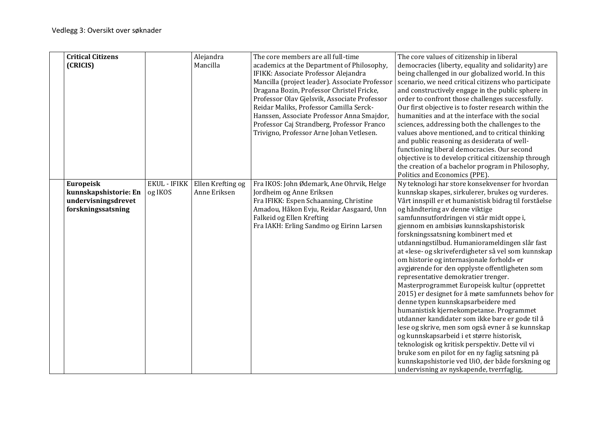| <b>Critical Citizens</b> |                     | Alejandra         | The core members are all full-time             | The core values of citizenship in liberal             |
|--------------------------|---------------------|-------------------|------------------------------------------------|-------------------------------------------------------|
| (CRICIS)                 |                     | Mancilla          | academics at the Department of Philosophy,     | democracies (liberty, equality and solidarity) are    |
|                          |                     |                   | IFIKK: Associate Professor Alejandra           | being challenged in our globalized world. In this     |
|                          |                     |                   | Mancilla (project leader). Associate Professor | scenario, we need critical citizens who participate   |
|                          |                     |                   | Dragana Bozin, Professor Christel Fricke,      | and constructively engage in the public sphere in     |
|                          |                     |                   | Professor Olav Gjelsvik, Associate Professor   | order to confront those challenges successfully.      |
|                          |                     |                   | Reidar Maliks, Professor Camilla Serck-        | Our first objective is to foster research within the  |
|                          |                     |                   | Hanssen, Associate Professor Anna Smajdor,     | humanities and at the interface with the social       |
|                          |                     |                   | Professor Caj Strandberg, Professor Franco     | sciences, addressing both the challenges to the       |
|                          |                     |                   | Trivigno, Professor Arne Johan Vetlesen.       | values above mentioned, and to critical thinking      |
|                          |                     |                   |                                                | and public reasoning as desiderata of well-           |
|                          |                     |                   |                                                | functioning liberal democracies. Our second           |
|                          |                     |                   |                                                | objective is to develop critical citizenship through  |
|                          |                     |                   |                                                | the creation of a bachelor program in Philosophy,     |
|                          |                     |                   |                                                | Politics and Economics (PPE).                         |
| <b>Europeisk</b>         | <b>EKUL - IFIKK</b> | Ellen Krefting og | Fra IKOS: John Ødemark, Ane Ohrvik, Helge      | Ny teknologi har store konsekvenser for hvordan       |
| kunnskapshistorie: En    | og IKOS             | Anne Eriksen      | Jordheim og Anne Eriksen                       | kunnskap skapes, sirkulerer, brukes og vurderes.      |
| undervisningsdrevet      |                     |                   | Fra IFIKK: Espen Schaanning, Christine         | Vårt innspill er et humanistisk bidrag til forståelse |
| forskningssatsning       |                     |                   | Amadou, Håkon Evju, Reidar Aasgaard, Unn       | og håndtering av denne viktige                        |
|                          |                     |                   | Falkeid og Ellen Krefting                      | samfunnsutfordringen vi står midt oppe i,             |
|                          |                     |                   | Fra IAKH: Erling Sandmo og Eirinn Larsen       | gjennom en ambisiøs kunnskapshistorisk                |
|                          |                     |                   |                                                | forskningssatsning kombinert med et                   |
|                          |                     |                   |                                                | utdanningstilbud. Humaniorameldingen slår fast        |
|                          |                     |                   |                                                | at «lese- og skriveferdigheter så vel som kunnskap    |
|                          |                     |                   |                                                | om historie og internasjonale forhold» er             |
|                          |                     |                   |                                                | avgjørende for den opplyste offentligheten som        |
|                          |                     |                   |                                                | representative demokratier trenger.                   |
|                          |                     |                   |                                                | Masterprogrammet Europeisk kultur (opprettet          |
|                          |                     |                   |                                                | 2015) er designet for å møte samfunnets behov for     |
|                          |                     |                   |                                                | denne typen kunnskapsarbeidere med                    |
|                          |                     |                   |                                                | humanistisk kjernekompetanse. Programmet              |
|                          |                     |                   |                                                | utdanner kandidater som ikke bare er gode til å       |
|                          |                     |                   |                                                | lese og skrive, men som også evner å se kunnskap      |
|                          |                     |                   |                                                | og kunnskapsarbeid i et større historisk,             |
|                          |                     |                   |                                                | teknologisk og kritisk perspektiv. Dette vil vi       |
|                          |                     |                   |                                                | bruke som en pilot for en ny faglig satsning på       |
|                          |                     |                   |                                                | kunnskapshistorie ved UiO, der både forskning og      |
|                          |                     |                   |                                                | undervisning av nyskapende, tverrfaglig,              |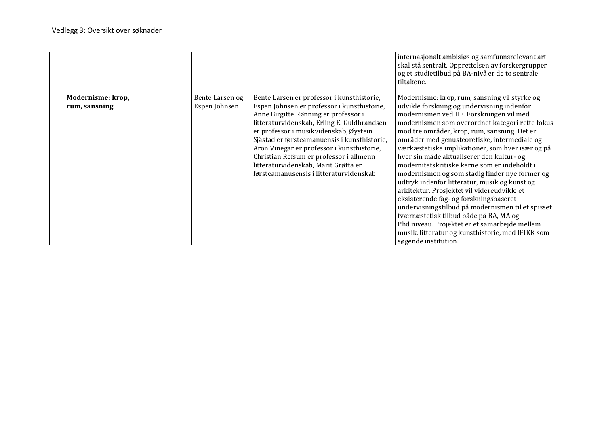|                                    |                                  |                                                                                                                                                                                                                                                                                                                                                                                                                                                        | internasjonalt ambisiøs og samfunnsrelevant art<br>skal stå sentralt. Opprettelsen av forskergrupper<br>og et studietilbud på BA-nivå er de to sentrale<br>tiltakene.                                                                                                                                                                                                                                                                                                                                                                                                                                                                                                                                                                                                                                                                                               |
|------------------------------------|----------------------------------|--------------------------------------------------------------------------------------------------------------------------------------------------------------------------------------------------------------------------------------------------------------------------------------------------------------------------------------------------------------------------------------------------------------------------------------------------------|---------------------------------------------------------------------------------------------------------------------------------------------------------------------------------------------------------------------------------------------------------------------------------------------------------------------------------------------------------------------------------------------------------------------------------------------------------------------------------------------------------------------------------------------------------------------------------------------------------------------------------------------------------------------------------------------------------------------------------------------------------------------------------------------------------------------------------------------------------------------|
| Modernisme: krop,<br>rum, sansning | Bente Larsen og<br>Espen Johnsen | Bente Larsen er professor i kunsthistorie,<br>Espen Johnsen er professor i kunsthistorie,<br>Anne Birgitte Rønning er professor i<br>litteraturvidenskab, Erling E. Guldbrandsen<br>er professor i musikvidenskab, Øystein<br>Sjåstad er førsteamanuensis i kunsthistorie,<br>Aron Vinegar er professor i kunsthistorie,<br>Christian Refsum er professor i allmenn<br>litteraturvidenskab, Marit Grøtta er<br>førsteamanusensis i litteraturvidenskab | Modernisme: krop, rum, sansning vil styrke og<br>udvikle forskning og undervisning indenfor<br>modernismen ved HF. Forskningen vil med<br>modernismen som overordnet kategori rette fokus<br>mod tre områder, krop, rum, sansning. Det er<br>områder med genusteoretiske, intermediale og<br>værkæstetiske implikationer, som hver især og på<br>hver sin måde aktualiserer den kultur- og<br>modernitetskritiske kerne som er indeholdt i<br>modernismen og som stadig finder nye former og<br>udtryk indenfor litteratur, musik og kunst og<br>arkitektur. Prosjektet vil videreudvikle et<br>eksisterende fag- og forskningsbaseret<br>undervisningstilbud på modernismen til et spisset<br>tværræstetisk tilbud både på BA, MA og<br>Phd.niveau. Projektet er et samarbejde mellem<br>musik, litteratur og kunsthistorie, med IFIKK som<br>søgende institution. |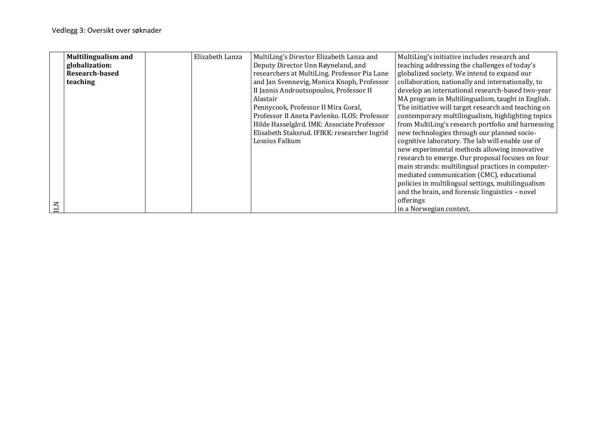|       | <b>Multilingualism and</b> | Elizabeth Lanza | MultiLing's Director Elizabeth Lanza and     | MultiLing's initiative includes research and        |
|-------|----------------------------|-----------------|----------------------------------------------|-----------------------------------------------------|
|       | globalization:             |                 | Deputy Director Unn Røyneland, and           | teaching addressing the challenges of today's       |
|       | Research-based             |                 | researchers at MultiLing. Professor Pia Lane | globalized society. We intend to expand our         |
|       | teaching                   |                 | and Jan Svennevig, Monica Knoph, Professor   | collaboration, nationally and internationally, to   |
|       |                            |                 | II Jannis Androutsopoulos, Professor II      | develop an international research-based two-year    |
|       |                            |                 | Alastair                                     | MA program in Multilingualism, taught in English.   |
|       |                            |                 | Pennycook, Professor II Mira Goral,          | The initiative will target research and teaching on |
|       |                            |                 | Professor II Aneta Pavlenko. ILOS: Professor | contemporary multilingualism, highlighting topics   |
|       |                            |                 | Hilde Hasselgård. IMK: Associate Professor   | from MultiLing's research portfolio and harnessing  |
|       |                            |                 | Elisabeth Staksrud. IFIKK: researcher Ingrid | new technologies through our planned socio-         |
|       |                            |                 | Lossius Falkum                               | cognitive laboratory. The lab will enable use of    |
|       |                            |                 |                                              | new experimental methods allowing innovative        |
|       |                            |                 |                                              | research to emerge. Our proposal focuses on four    |
|       |                            |                 |                                              | main strands: multilingual practices in computer-   |
|       |                            |                 |                                              | mediated communication (CMC), educational           |
|       |                            |                 |                                              | policies in multilingual settings, multilingualism  |
|       |                            |                 |                                              | and the brain, and forensic linguistics - novel     |
|       |                            |                 |                                              | offerings                                           |
| $\Xi$ |                            |                 |                                              | in a Norwegian context.                             |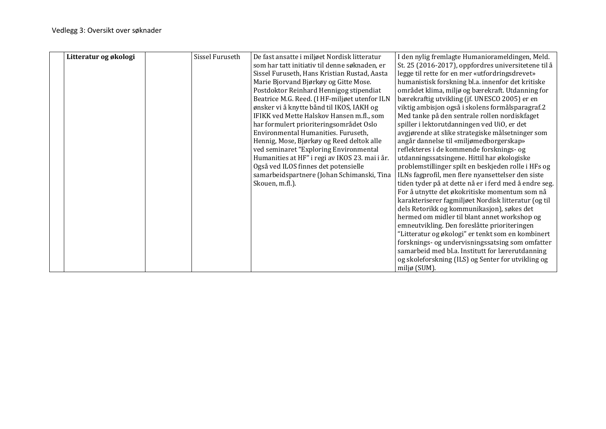| Litteratur og økologi | Sissel Furuseth | De fast ansatte i miljøet Nordisk litteratur   | I den nylig fremlagte Humaniorameldingen, Meld.       |
|-----------------------|-----------------|------------------------------------------------|-------------------------------------------------------|
|                       |                 | som har tatt initiativ til denne søknaden, er  | St. 25 (2016-2017), oppfordres universitetene til å   |
|                       |                 | Sissel Furuseth, Hans Kristian Rustad, Aasta   | legge til rette for en mer «utfordringsdrevet»        |
|                       |                 | Marie Bjorvand Bjørkøy og Gitte Mose.          | humanistisk forskning bl.a. innenfor det kritiske     |
|                       |                 | Postdoktor Reinhard Hennigog stipendiat        | området klima, miljø og bærekraft. Utdanning for      |
|                       |                 | Beatrice M.G. Reed. (I HF-miljøet utenfor ILN  | bærekraftig utvikling (jf. UNESCO 2005) er en         |
|                       |                 | ønsker vi å knytte bånd til IKOS, IAKH og      | viktig ambisjon også i skolens formålsparagraf.2      |
|                       |                 | IFIKK ved Mette Halskov Hansen m.fl., som      | Med tanke på den sentrale rollen nordiskfaget         |
|                       |                 | har formulert prioriteringsområdet Oslo        | spiller i lektorutdanningen ved UiO, er det           |
|                       |                 | Environmental Humanities. Furuseth,            | avgjørende at slike strategiske målsetninger som      |
|                       |                 | Hennig, Mose, Bjørkøy og Reed deltok alle      | angår dannelse til «miljømedborgerskap»               |
|                       |                 | ved seminaret "Exploring Environmental         | reflekteres i de kommende forsknings- og              |
|                       |                 | Humanities at HF" i regi av IKOS 23. mai i år. | utdanningssatsingene. Hittil har økologiske           |
|                       |                 | Også ved ILOS finnes det potensielle           | problemstillinger spilt en beskjeden rolle i HFs og   |
|                       |                 | samarbeidspartnere (Johan Schimanski, Tina     | ILNs fagprofil, men flere nyansettelser den siste     |
|                       |                 | Skouen, m.fl.).                                | tiden tyder på at dette nå er i ferd med å endre seg. |
|                       |                 |                                                | For å utnytte det økokritiske momentum som nå         |
|                       |                 |                                                | karakteriserer fagmiljøet Nordisk litteratur (og til  |
|                       |                 |                                                | dels Retorikk og kommunikasjon), søkes det            |
|                       |                 |                                                | hermed om midler til blant annet workshop og          |
|                       |                 |                                                | emneutvikling. Den foreslåtte prioriteringen          |
|                       |                 |                                                | "Litteratur og økologi" er tenkt som en kombinert     |
|                       |                 |                                                | forsknings- og undervisningssatsing som omfatter      |
|                       |                 |                                                | samarbeid med bl.a. Institutt for lærerutdanning      |
|                       |                 |                                                | og skoleforskning (ILS) og Senter for utvikling og    |
|                       |                 |                                                | miljø (SUM).                                          |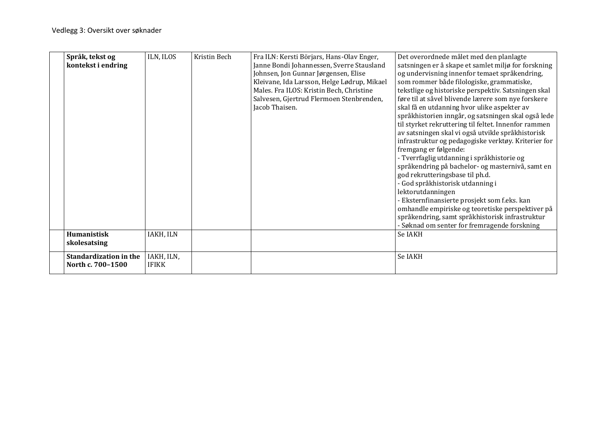| Språk, tekst og               | ILN, ILOS    | Kristin Bech | Fra ILN: Kersti Börjars, Hans-Olav Enger,   | Det overordnede målet med den planlagte              |
|-------------------------------|--------------|--------------|---------------------------------------------|------------------------------------------------------|
| kontekst i endring            |              |              | Janne Bondi Johannessen, Sverre Stausland   | satsningen er å skape et samlet miljø for forskning  |
|                               |              |              | Johnsen, Jon Gunnar Jørgensen, Elise        | og undervisning innenfor temaet språkendring,        |
|                               |              |              | Kleivane, Ida Larsson, Helge Lødrup, Mikael | som rommer både filologiske, grammatiske,            |
|                               |              |              | Males. Fra ILOS: Kristin Bech, Christine    | tekstlige og historiske perspektiv. Satsningen skal  |
|                               |              |              | Salvesen, Gjertrud Flermoen Stenbrenden,    | føre til at såvel blivende lærere som nye forskere   |
|                               |              |              | Jacob Thaisen.                              | skal få en utdanning hvor ulike aspekter av          |
|                               |              |              |                                             | språkhistorien inngår, og satsningen skal også lede  |
|                               |              |              |                                             | til styrket rekruttering til feltet. Innenfor rammen |
|                               |              |              |                                             | av satsningen skal vi også utvikle språkhistorisk    |
|                               |              |              |                                             | infrastruktur og pedagogiske verktøy. Kriterier for  |
|                               |              |              |                                             | fremgang er følgende:                                |
|                               |              |              |                                             | - Tverrfaglig utdanning i språkhistorie og           |
|                               |              |              |                                             | språkendring på bachelor- og masternivå, samt en     |
|                               |              |              |                                             | god rekrutteringsbase til ph.d.                      |
|                               |              |              |                                             | - God språkhistorisk utdanning i                     |
|                               |              |              |                                             |                                                      |
|                               |              |              |                                             | lektorutdanningen                                    |
|                               |              |              |                                             | - Eksternfinansierte prosjekt som f.eks. kan         |
|                               |              |              |                                             | omhandle empiriske og teoretiske perspektiver på     |
|                               |              |              |                                             | språkendring, samt språkhistorisk infrastruktur      |
|                               |              |              |                                             | - Søknad om senter for fremragende forskning         |
| <b>Humanistisk</b>            | IAKH, ILN    |              |                                             | Se IAKH                                              |
| skolesatsing                  |              |              |                                             |                                                      |
| <b>Standardization in the</b> | IAKH, ILN,   |              |                                             | Se IAKH                                              |
| North c. 700-1500             | <b>IFIKK</b> |              |                                             |                                                      |
|                               |              |              |                                             |                                                      |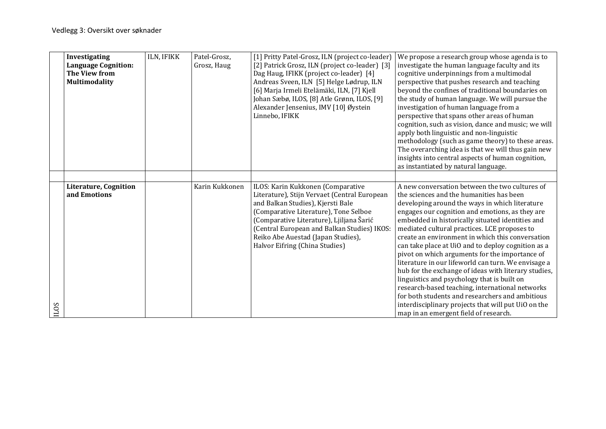|       | Investigating<br><b>Language Cognition:</b><br>The View from<br><b>Multimodality</b> | ILN, IFIKK | Patel-Grosz,<br>Grosz, Haug | [1] Pritty Patel-Grosz, ILN (project co-leader)<br>[2] Patrick Grosz, ILN (project co-leader) [3]<br>Dag Haug, IFIKK (project co-leader) [4]<br>Andreas Sveen, ILN [5] Helge Lødrup, ILN<br>[6] Marja Irmeli Etelämäki, ILN, [7] Kjell<br>Johan Sæbø, ILOS, [8] Atle Grønn, ILOS, [9]<br>Alexander Jensenius, IMV [10] Øystein<br>Linnebo, IFIKK | We propose a research group whose agenda is to<br>investigate the human language faculty and its<br>cognitive underpinnings from a multimodal<br>perspective that pushes research and teaching<br>beyond the confines of traditional boundaries on<br>the study of human language. We will pursue the<br>investigation of human language from a<br>perspective that spans other areas of human<br>cognition, such as vision, dance and music; we will<br>apply both linguistic and non-linguistic<br>methodology (such as game theory) to these areas.<br>The overarching idea is that we will thus gain new<br>insights into central aspects of human cognition,<br>as instantiated by natural language.                                                                                                                           |
|-------|--------------------------------------------------------------------------------------|------------|-----------------------------|--------------------------------------------------------------------------------------------------------------------------------------------------------------------------------------------------------------------------------------------------------------------------------------------------------------------------------------------------|-------------------------------------------------------------------------------------------------------------------------------------------------------------------------------------------------------------------------------------------------------------------------------------------------------------------------------------------------------------------------------------------------------------------------------------------------------------------------------------------------------------------------------------------------------------------------------------------------------------------------------------------------------------------------------------------------------------------------------------------------------------------------------------------------------------------------------------|
| 11.0S | <b>Literature, Cognition</b><br>and Emotions                                         |            | Karin Kukkonen              | ILOS: Karin Kukkonen (Comparative<br>Literature), Stijn Vervaet (Central European<br>and Balkan Studies), Kjersti Bale<br>(Comparative Literature), Tone Selboe<br>(Comparative Literature), Ljiljana Šarić<br>(Central European and Balkan Studies) IKOS:<br>Reiko Abe Auestad (Japan Studies),<br>Halvor Eifring (China Studies)               | A new conversation between the two cultures of<br>the sciences and the humanities has been<br>developing around the ways in which literature<br>engages our cognition and emotions, as they are<br>embedded in historically situated identities and<br>mediated cultural practices. LCE proposes to<br>create an environment in which this conversation<br>can take place at UiO and to deploy cognition as a<br>pivot on which arguments for the importance of<br>literature in our lifeworld can turn. We envisage a<br>hub for the exchange of ideas with literary studies,<br>linguistics and psychology that is built on<br>research-based teaching, international networks<br>for both students and researchers and ambitious<br>interdisciplinary projects that will put UiO on the<br>map in an emergent field of research. |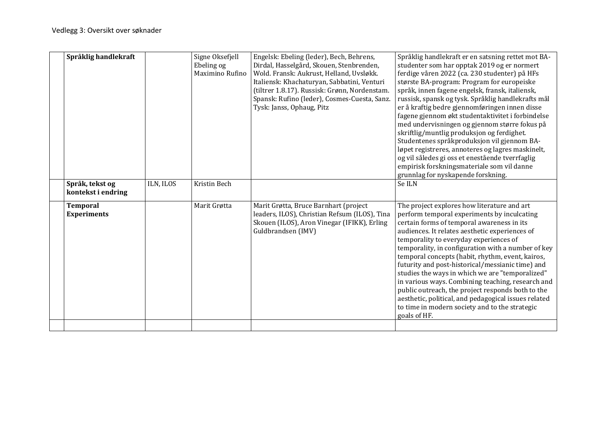| Språklig handlekraft                  |           | Signe Oksefjell<br>Ebeling og<br>Maximino Rufino | Engelsk: Ebeling (leder), Bech, Behrens,<br>Dirdal, Hasselgård, Skouen, Stenbrenden,<br>Wold. Fransk: Aukrust, Helland, Uvsløkk.<br>Italiensk: Khachaturyan, Sabbatini, Venturi<br>(tiltrer 1.8.17). Russisk: Grønn, Nordenstam.<br>Spansk: Rufino (leder), Cosmes-Cuesta, Sanz.<br>Tysk: Janss, Ophaug, Pitz | Språklig handlekraft er en satsning rettet mot BA-<br>studenter som har opptak 2019 og er normert<br>ferdige våren 2022 (ca. 230 studenter) på HFs<br>største BA-program: Program for europeiske<br>språk, innen fagene engelsk, fransk, italiensk,<br>russisk, spansk og tysk. Språklig handlekrafts mål<br>er å kraftig bedre gjennomføringen innen disse<br>fagene gjennom økt studentaktivitet i forbindelse<br>med undervisningen og gjennom større fokus på<br>skriftlig/muntlig produksjon og ferdighet.<br>Studentenes språkproduksjon vil gjennom BA-<br>løpet registreres, annoteres og lagres maskinelt,<br>og vil således gi oss et enestående tverrfaglig<br>empirisk forskningsmateriale som vil danne<br>grunnlag for nyskapende forskning. |
|---------------------------------------|-----------|--------------------------------------------------|---------------------------------------------------------------------------------------------------------------------------------------------------------------------------------------------------------------------------------------------------------------------------------------------------------------|------------------------------------------------------------------------------------------------------------------------------------------------------------------------------------------------------------------------------------------------------------------------------------------------------------------------------------------------------------------------------------------------------------------------------------------------------------------------------------------------------------------------------------------------------------------------------------------------------------------------------------------------------------------------------------------------------------------------------------------------------------|
| Språk, tekst og<br>kontekst i endring | ILN, ILOS | Kristin Bech                                     |                                                                                                                                                                                                                                                                                                               | Se ILN                                                                                                                                                                                                                                                                                                                                                                                                                                                                                                                                                                                                                                                                                                                                                     |
| <b>Temporal</b><br><b>Experiments</b> |           | Marit Grøtta                                     | Marit Grøtta, Bruce Barnhart (project<br>leaders, ILOS), Christian Refsum (ILOS), Tina<br>Skouen (ILOS), Aron Vinegar (IFIKK), Erling<br>Guldbrandsen (IMV)                                                                                                                                                   | The project explores how literature and art<br>perform temporal experiments by inculcating<br>certain forms of temporal awareness in its<br>audiences. It relates aesthetic experiences of<br>temporality to everyday experiences of<br>temporality, in configuration with a number of key<br>temporal concepts (habit, rhythm, event, kairos,<br>futurity and post-historical/messianic time) and<br>studies the ways in which we are "temporalized"<br>in various ways. Combining teaching, research and<br>public outreach, the project responds both to the<br>aesthetic, political, and pedagogical issues related<br>to time in modern society and to the strategic<br>goals of HF.                                                                  |
|                                       |           |                                                  |                                                                                                                                                                                                                                                                                                               |                                                                                                                                                                                                                                                                                                                                                                                                                                                                                                                                                                                                                                                                                                                                                            |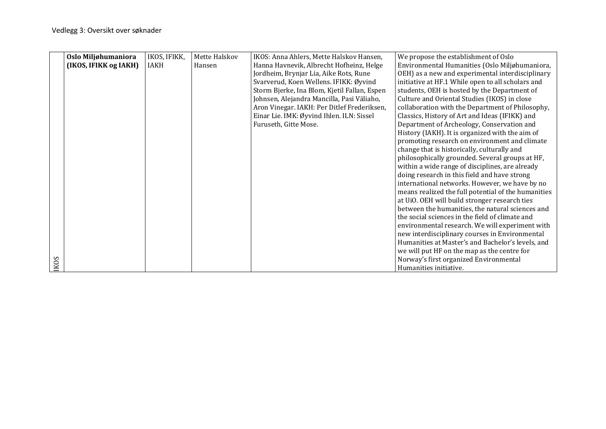|      | Oslo Miljøhumaniora   | IKOS, IFIKK, | Mette Halskov | IKOS: Anna Ahlers, Mette Halskov Hansen,     | We propose the establishment of Oslo                |
|------|-----------------------|--------------|---------------|----------------------------------------------|-----------------------------------------------------|
|      | (IKOS, IFIKK og IAKH) | IAKH         | Hansen        | Hanna Havnevik, Albrecht Hofheinz, Helge     | Environmental Humanities (Oslo Miljøhumaniora,      |
|      |                       |              |               | Jordheim, Brynjar Lia, Aike Rots, Rune       | OEH) as a new and experimental interdisciplinary    |
|      |                       |              |               | Svarverud, Koen Wellens. IFIKK: Øyvind       | initiative at HF.1 While open to all scholars and   |
|      |                       |              |               | Storm Bjerke, Ina Blom, Kjetil Fallan, Espen | students, OEH is hosted by the Department of        |
|      |                       |              |               | Johnsen, Alejandra Mancilla, Pasi Väliaho,   | Culture and Oriental Studies (IKOS) in close        |
|      |                       |              |               | Aron Vinegar. IAKH: Per Ditlef Frederiksen,  | collaboration with the Department of Philosophy,    |
|      |                       |              |               | Einar Lie. IMK: Øyvind Ihlen. ILN: Sissel    | Classics, History of Art and Ideas (IFIKK) and      |
|      |                       |              |               | Furuseth, Gitte Mose.                        | Department of Archeology, Conservation and          |
|      |                       |              |               |                                              | History (IAKH). It is organized with the aim of     |
|      |                       |              |               |                                              | promoting research on environment and climate       |
|      |                       |              |               |                                              | change that is historically, culturally and         |
|      |                       |              |               |                                              | philosophically grounded. Several groups at HF,     |
|      |                       |              |               |                                              | within a wide range of disciplines, are already     |
|      |                       |              |               |                                              | doing research in this field and have strong        |
|      |                       |              |               |                                              | international networks. However, we have by no      |
|      |                       |              |               |                                              | means realized the full potential of the humanities |
|      |                       |              |               |                                              | at UiO. OEH will build stronger research ties       |
|      |                       |              |               |                                              | between the humanities, the natural sciences and    |
|      |                       |              |               |                                              | the social sciences in the field of climate and     |
|      |                       |              |               |                                              | environmental research. We will experiment with     |
|      |                       |              |               |                                              | new interdisciplinary courses in Environmental      |
|      |                       |              |               |                                              | Humanities at Master's and Bachelor's levels, and   |
|      |                       |              |               |                                              | we will put HF on the map as the centre for         |
| IKOS |                       |              |               |                                              | Norway's first organized Environmental              |
|      |                       |              |               |                                              | Humanities initiative.                              |